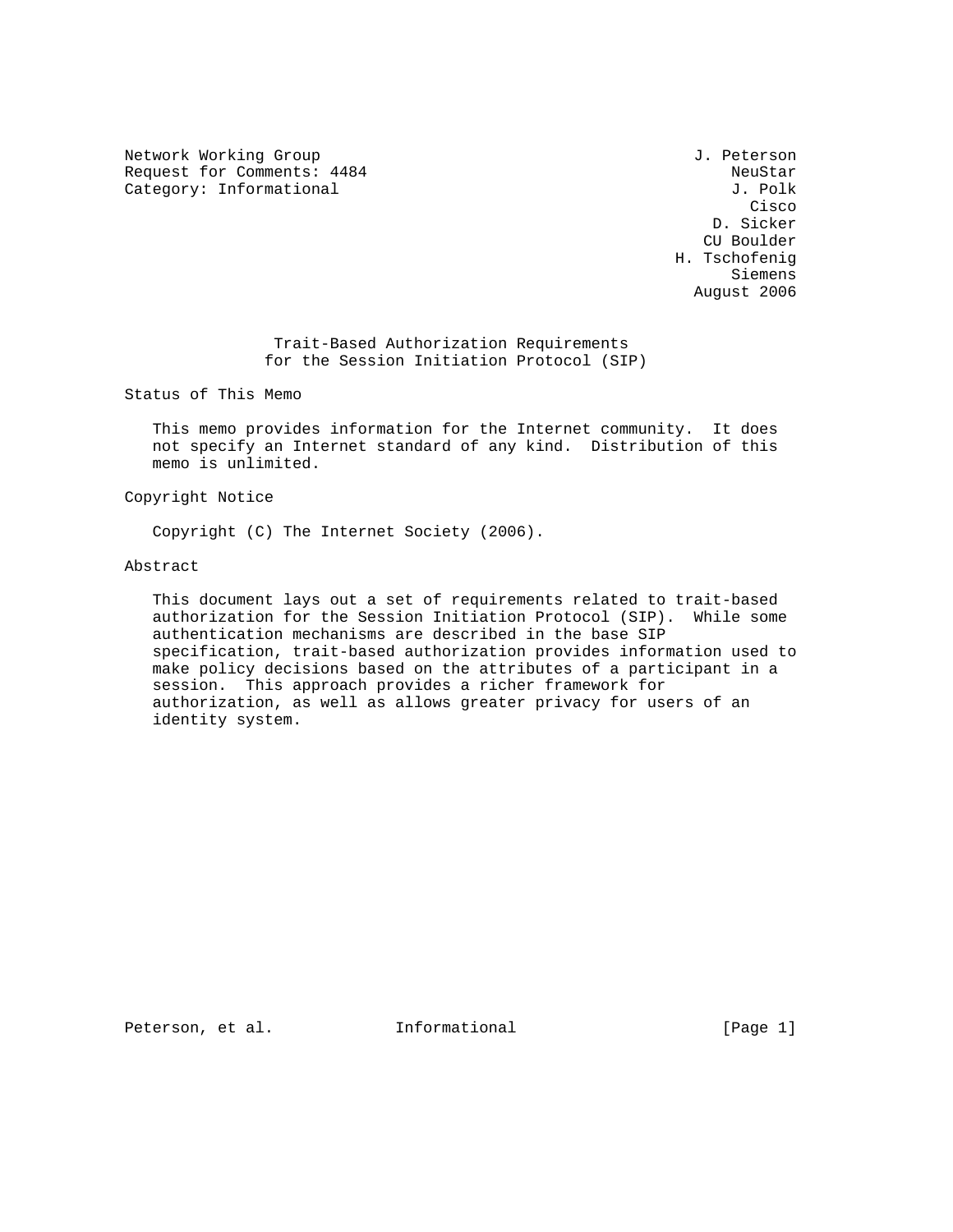Network Working Group 3. 2012 1. Peterson Request for Comments: 4484 NeuStar (NeuStar NeuStar NeuStar NeuStar NeuStar NeuStar NeuStar NeuStar NeuStar Neu<br>
Category: Informational (Neustar Neustar Neustar Neustar Neustar Neustar Neustar Neustar Neustar Neustar Neus Category: Informational J. Polk J. Polk (1980)

**Cisco de la contrata de la contrata de la contrata de la contrata de la contrata de la contrata de la contrat**  D. Sicker CU Boulder H. Tschofenig Siemens August 2006

> Trait-Based Authorization Requirements for the Session Initiation Protocol (SIP)

Status of This Memo

 This memo provides information for the Internet community. It does not specify an Internet standard of any kind. Distribution of this memo is unlimited.

Copyright Notice

Copyright (C) The Internet Society (2006).

#### Abstract

 This document lays out a set of requirements related to trait-based authorization for the Session Initiation Protocol (SIP). While some authentication mechanisms are described in the base SIP specification, trait-based authorization provides information used to make policy decisions based on the attributes of a participant in a session. This approach provides a richer framework for authorization, as well as allows greater privacy for users of an identity system.

Peterson, et al. **Informational** [Page 1]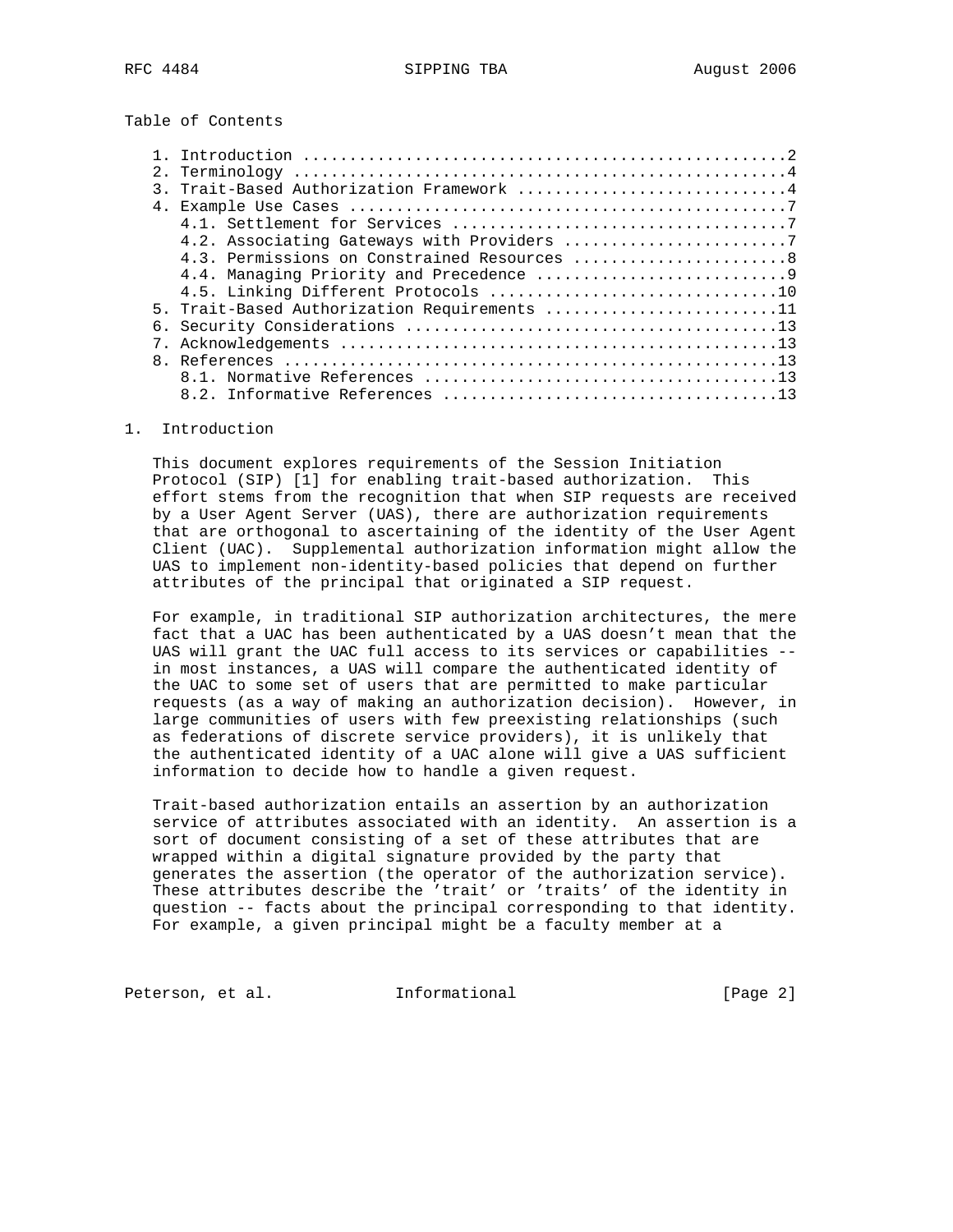Table of Contents

|  | 3. Trait-Based Authorization Framework 4     |
|--|----------------------------------------------|
|  |                                              |
|  |                                              |
|  | 4.2. Associating Gateways with Providers 7   |
|  | 4.3. Permissions on Constrained Resources  8 |
|  |                                              |
|  |                                              |
|  | 5. Trait-Based Authorization Requirements 11 |
|  |                                              |
|  |                                              |
|  |                                              |
|  |                                              |
|  |                                              |

### 1. Introduction

 This document explores requirements of the Session Initiation Protocol (SIP) [1] for enabling trait-based authorization. This effort stems from the recognition that when SIP requests are received by a User Agent Server (UAS), there are authorization requirements that are orthogonal to ascertaining of the identity of the User Agent Client (UAC). Supplemental authorization information might allow the UAS to implement non-identity-based policies that depend on further attributes of the principal that originated a SIP request.

 For example, in traditional SIP authorization architectures, the mere fact that a UAC has been authenticated by a UAS doesn't mean that the UAS will grant the UAC full access to its services or capabilities - in most instances, a UAS will compare the authenticated identity of the UAC to some set of users that are permitted to make particular requests (as a way of making an authorization decision). However, in large communities of users with few preexisting relationships (such as federations of discrete service providers), it is unlikely that the authenticated identity of a UAC alone will give a UAS sufficient information to decide how to handle a given request.

 Trait-based authorization entails an assertion by an authorization service of attributes associated with an identity. An assertion is a sort of document consisting of a set of these attributes that are wrapped within a digital signature provided by the party that generates the assertion (the operator of the authorization service). These attributes describe the 'trait' or 'traits' of the identity in question -- facts about the principal corresponding to that identity. For example, a given principal might be a faculty member at a

Peterson, et al. 1nformational 1999 [Page 2]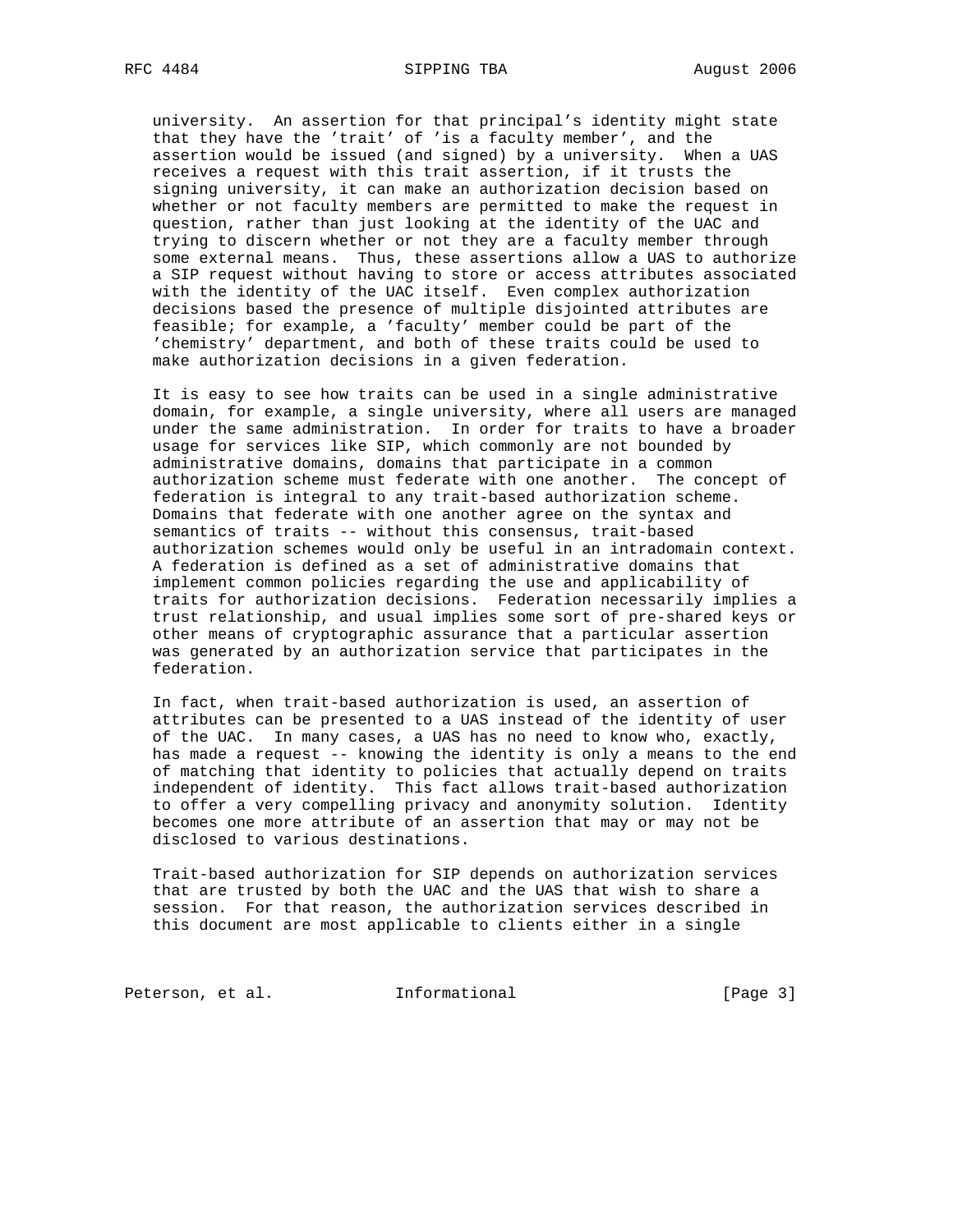university. An assertion for that principal's identity might state that they have the 'trait' of 'is a faculty member', and the assertion would be issued (and signed) by a university. When a UAS receives a request with this trait assertion, if it trusts the signing university, it can make an authorization decision based on whether or not faculty members are permitted to make the request in question, rather than just looking at the identity of the UAC and trying to discern whether or not they are a faculty member through some external means. Thus, these assertions allow a UAS to authorize a SIP request without having to store or access attributes associated with the identity of the UAC itself. Even complex authorization decisions based the presence of multiple disjointed attributes are feasible; for example, a 'faculty' member could be part of the 'chemistry' department, and both of these traits could be used to make authorization decisions in a given federation.

 It is easy to see how traits can be used in a single administrative domain, for example, a single university, where all users are managed under the same administration. In order for traits to have a broader usage for services like SIP, which commonly are not bounded by administrative domains, domains that participate in a common authorization scheme must federate with one another. The concept of federation is integral to any trait-based authorization scheme. Domains that federate with one another agree on the syntax and semantics of traits -- without this consensus, trait-based authorization schemes would only be useful in an intradomain context. A federation is defined as a set of administrative domains that implement common policies regarding the use and applicability of traits for authorization decisions. Federation necessarily implies a trust relationship, and usual implies some sort of pre-shared keys or other means of cryptographic assurance that a particular assertion was generated by an authorization service that participates in the federation.

 In fact, when trait-based authorization is used, an assertion of attributes can be presented to a UAS instead of the identity of user of the UAC. In many cases, a UAS has no need to know who, exactly, has made a request -- knowing the identity is only a means to the end of matching that identity to policies that actually depend on traits independent of identity. This fact allows trait-based authorization to offer a very compelling privacy and anonymity solution. Identity becomes one more attribute of an assertion that may or may not be disclosed to various destinations.

 Trait-based authorization for SIP depends on authorization services that are trusted by both the UAC and the UAS that wish to share a session. For that reason, the authorization services described in this document are most applicable to clients either in a single

Peterson, et al. 1nformational 1999 [Page 3]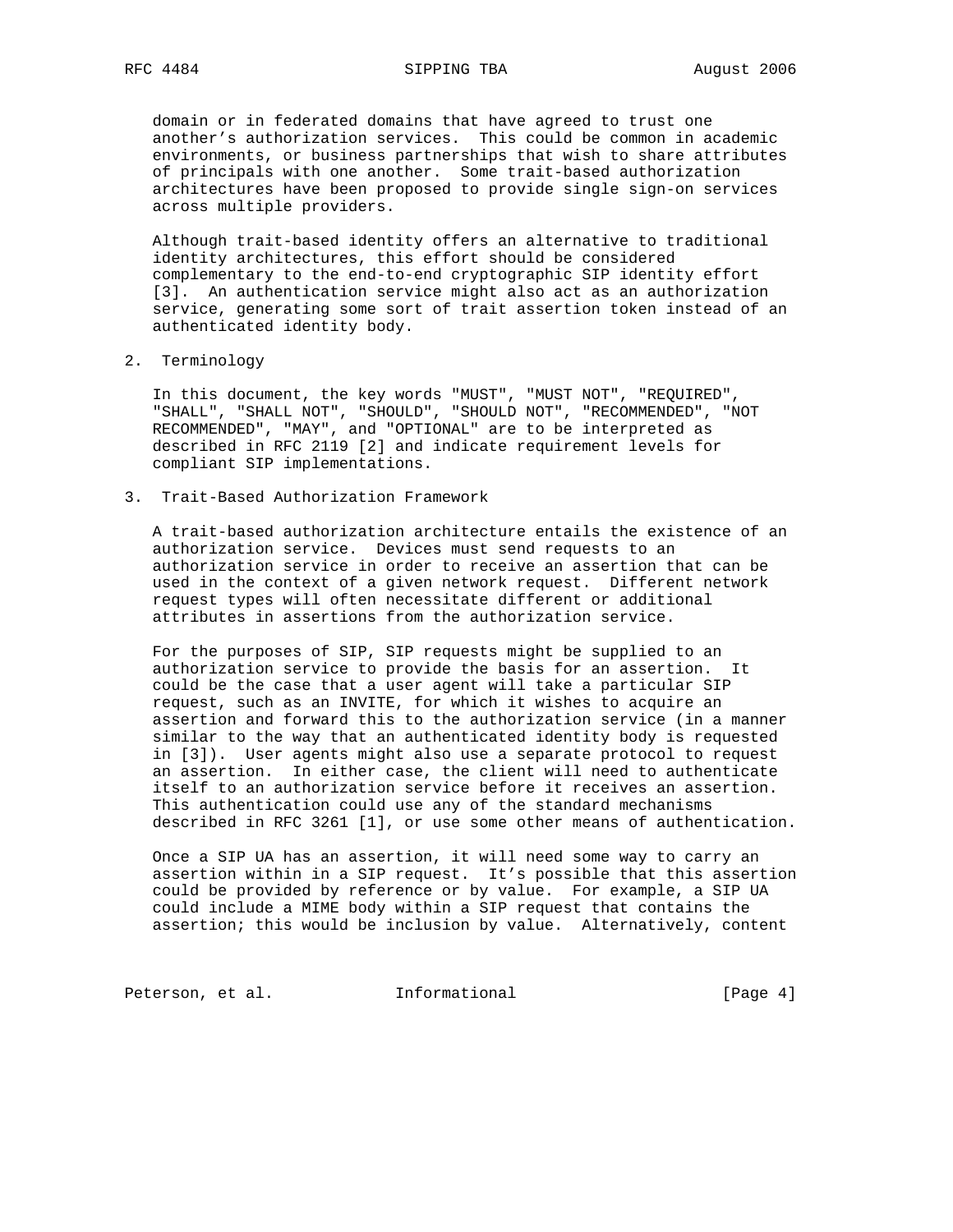domain or in federated domains that have agreed to trust one another's authorization services. This could be common in academic environments, or business partnerships that wish to share attributes of principals with one another. Some trait-based authorization architectures have been proposed to provide single sign-on services across multiple providers.

 Although trait-based identity offers an alternative to traditional identity architectures, this effort should be considered complementary to the end-to-end cryptographic SIP identity effort [3]. An authentication service might also act as an authorization service, generating some sort of trait assertion token instead of an authenticated identity body.

2. Terminology

 In this document, the key words "MUST", "MUST NOT", "REQUIRED", "SHALL", "SHALL NOT", "SHOULD", "SHOULD NOT", "RECOMMENDED", "NOT RECOMMENDED", "MAY", and "OPTIONAL" are to be interpreted as described in RFC 2119 [2] and indicate requirement levels for compliant SIP implementations.

3. Trait-Based Authorization Framework

 A trait-based authorization architecture entails the existence of an authorization service. Devices must send requests to an authorization service in order to receive an assertion that can be used in the context of a given network request. Different network request types will often necessitate different or additional attributes in assertions from the authorization service.

 For the purposes of SIP, SIP requests might be supplied to an authorization service to provide the basis for an assertion. It could be the case that a user agent will take a particular SIP request, such as an INVITE, for which it wishes to acquire an assertion and forward this to the authorization service (in a manner similar to the way that an authenticated identity body is requested in [3]). User agents might also use a separate protocol to request an assertion. In either case, the client will need to authenticate itself to an authorization service before it receives an assertion. This authentication could use any of the standard mechanisms described in RFC 3261 [1], or use some other means of authentication.

 Once a SIP UA has an assertion, it will need some way to carry an assertion within in a SIP request. It's possible that this assertion could be provided by reference or by value. For example, a SIP UA could include a MIME body within a SIP request that contains the assertion; this would be inclusion by value. Alternatively, content

Peterson, et al. 1nformational [Page 4]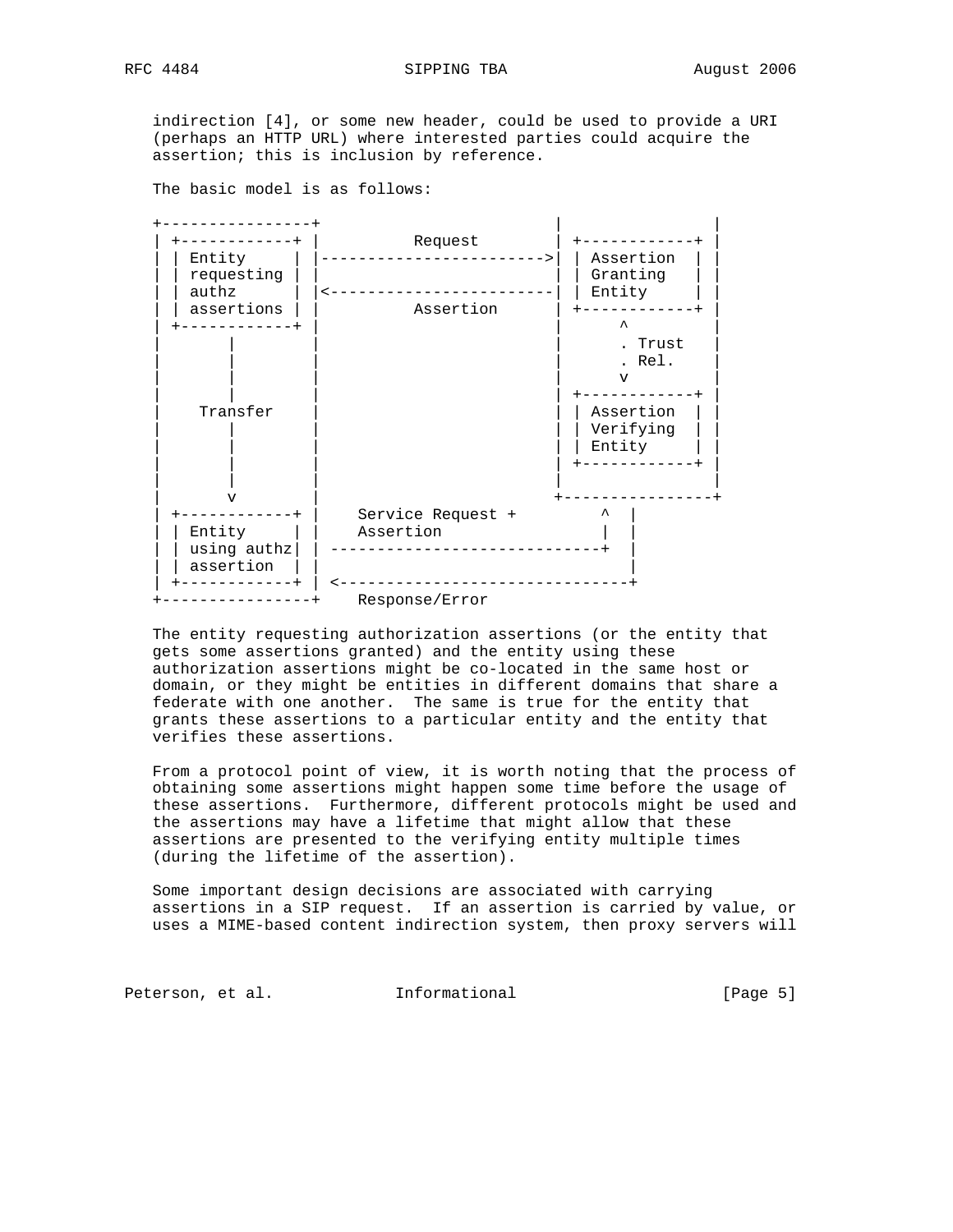indirection [4], or some new header, could be used to provide a URI (perhaps an HTTP URL) where interested parties could acquire the assertion; this is inclusion by reference.

The basic model is as follows:



 The entity requesting authorization assertions (or the entity that gets some assertions granted) and the entity using these authorization assertions might be co-located in the same host or domain, or they might be entities in different domains that share a federate with one another. The same is true for the entity that grants these assertions to a particular entity and the entity that verifies these assertions.

 From a protocol point of view, it is worth noting that the process of obtaining some assertions might happen some time before the usage of these assertions. Furthermore, different protocols might be used and the assertions may have a lifetime that might allow that these assertions are presented to the verifying entity multiple times (during the lifetime of the assertion).

 Some important design decisions are associated with carrying assertions in a SIP request. If an assertion is carried by value, or uses a MIME-based content indirection system, then proxy servers will

Peterson, et al. 1nformational 1999 [Page 5]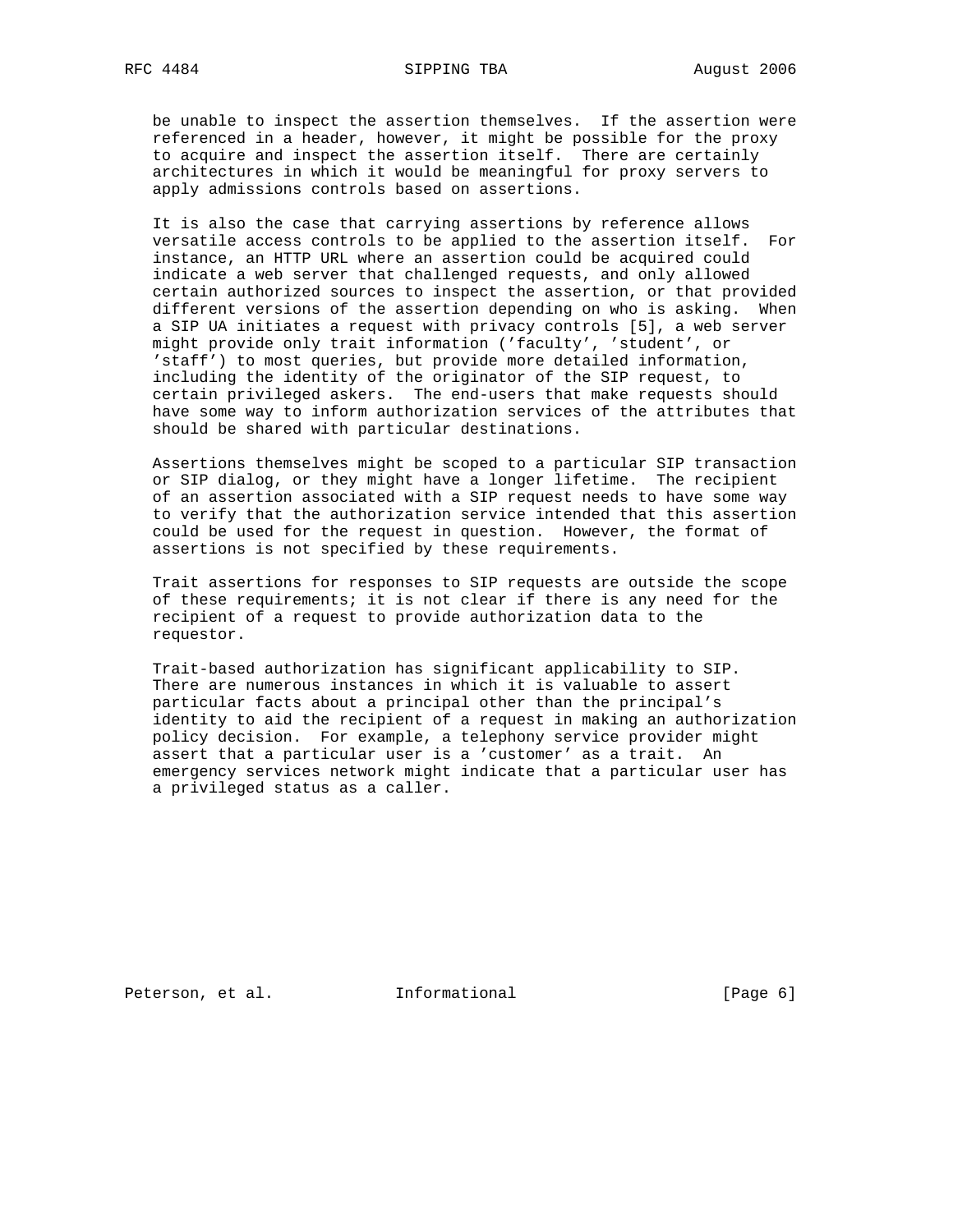be unable to inspect the assertion themselves. If the assertion were referenced in a header, however, it might be possible for the proxy to acquire and inspect the assertion itself. There are certainly architectures in which it would be meaningful for proxy servers to apply admissions controls based on assertions.

 It is also the case that carrying assertions by reference allows versatile access controls to be applied to the assertion itself. For instance, an HTTP URL where an assertion could be acquired could indicate a web server that challenged requests, and only allowed certain authorized sources to inspect the assertion, or that provided different versions of the assertion depending on who is asking. When a SIP UA initiates a request with privacy controls [5], a web server might provide only trait information ('faculty', 'student', or 'staff') to most queries, but provide more detailed information, including the identity of the originator of the SIP request, to certain privileged askers. The end-users that make requests should have some way to inform authorization services of the attributes that should be shared with particular destinations.

 Assertions themselves might be scoped to a particular SIP transaction or SIP dialog, or they might have a longer lifetime. The recipient of an assertion associated with a SIP request needs to have some way to verify that the authorization service intended that this assertion could be used for the request in question. However, the format of assertions is not specified by these requirements.

 Trait assertions for responses to SIP requests are outside the scope of these requirements; it is not clear if there is any need for the recipient of a request to provide authorization data to the requestor.

 Trait-based authorization has significant applicability to SIP. There are numerous instances in which it is valuable to assert particular facts about a principal other than the principal's identity to aid the recipient of a request in making an authorization policy decision. For example, a telephony service provider might assert that a particular user is a 'customer' as a trait. An emergency services network might indicate that a particular user has a privileged status as a caller.

Peterson, et al. 1nformational 1999 [Page 6]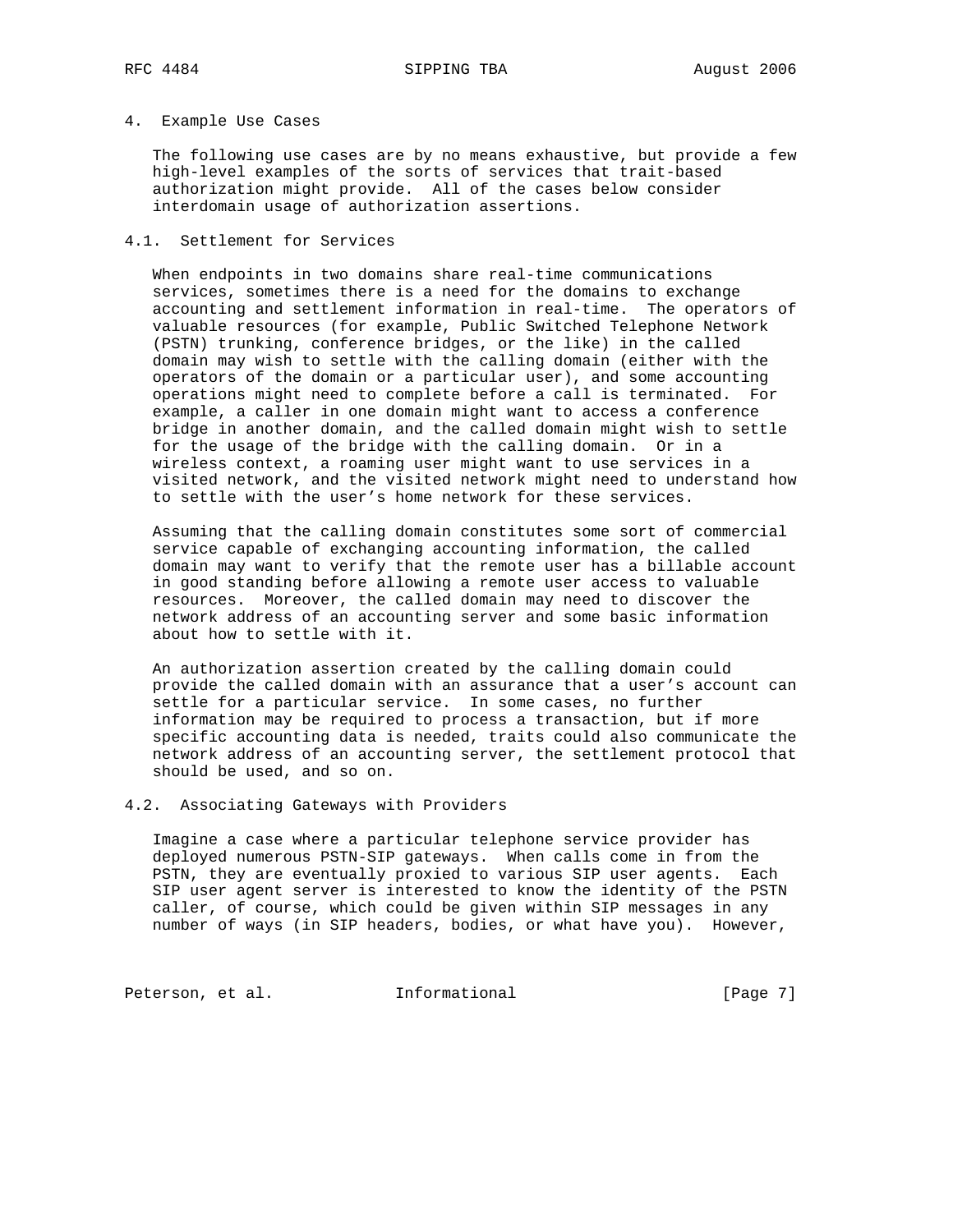### 4. Example Use Cases

 The following use cases are by no means exhaustive, but provide a few high-level examples of the sorts of services that trait-based authorization might provide. All of the cases below consider interdomain usage of authorization assertions.

# 4.1. Settlement for Services

 When endpoints in two domains share real-time communications services, sometimes there is a need for the domains to exchange accounting and settlement information in real-time. The operators of valuable resources (for example, Public Switched Telephone Network (PSTN) trunking, conference bridges, or the like) in the called domain may wish to settle with the calling domain (either with the operators of the domain or a particular user), and some accounting operations might need to complete before a call is terminated. For example, a caller in one domain might want to access a conference bridge in another domain, and the called domain might wish to settle for the usage of the bridge with the calling domain. Or in a wireless context, a roaming user might want to use services in a visited network, and the visited network might need to understand how to settle with the user's home network for these services.

 Assuming that the calling domain constitutes some sort of commercial service capable of exchanging accounting information, the called domain may want to verify that the remote user has a billable account in good standing before allowing a remote user access to valuable resources. Moreover, the called domain may need to discover the network address of an accounting server and some basic information about how to settle with it.

 An authorization assertion created by the calling domain could provide the called domain with an assurance that a user's account can settle for a particular service. In some cases, no further information may be required to process a transaction, but if more specific accounting data is needed, traits could also communicate the network address of an accounting server, the settlement protocol that should be used, and so on.

# 4.2. Associating Gateways with Providers

 Imagine a case where a particular telephone service provider has deployed numerous PSTN-SIP gateways. When calls come in from the PSTN, they are eventually proxied to various SIP user agents. Each SIP user agent server is interested to know the identity of the PSTN caller, of course, which could be given within SIP messages in any number of ways (in SIP headers, bodies, or what have you). However,

Peterson, et al. 1nformational 1999 [Page 7]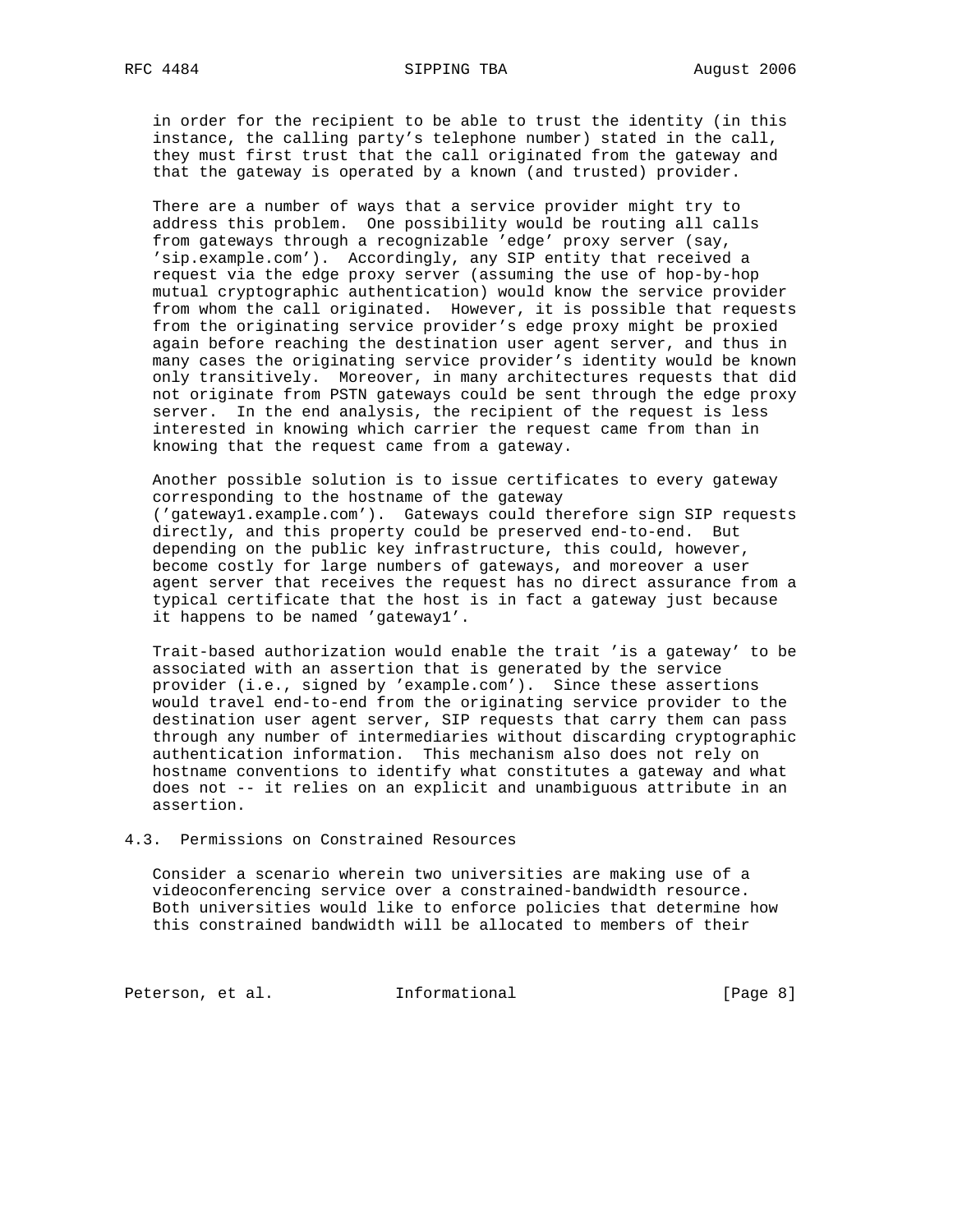in order for the recipient to be able to trust the identity (in this instance, the calling party's telephone number) stated in the call, they must first trust that the call originated from the gateway and that the gateway is operated by a known (and trusted) provider.

 There are a number of ways that a service provider might try to address this problem. One possibility would be routing all calls from gateways through a recognizable 'edge' proxy server (say, 'sip.example.com'). Accordingly, any SIP entity that received a request via the edge proxy server (assuming the use of hop-by-hop mutual cryptographic authentication) would know the service provider from whom the call originated. However, it is possible that requests from the originating service provider's edge proxy might be proxied again before reaching the destination user agent server, and thus in many cases the originating service provider's identity would be known only transitively. Moreover, in many architectures requests that did not originate from PSTN gateways could be sent through the edge proxy server. In the end analysis, the recipient of the request is less interested in knowing which carrier the request came from than in knowing that the request came from a gateway.

 Another possible solution is to issue certificates to every gateway corresponding to the hostname of the gateway ('gateway1.example.com'). Gateways could therefore sign SIP requests directly, and this property could be preserved end-to-end. But depending on the public key infrastructure, this could, however, become costly for large numbers of gateways, and moreover a user agent server that receives the request has no direct assurance from a typical certificate that the host is in fact a gateway just because it happens to be named 'gateway1'.

 Trait-based authorization would enable the trait 'is a gateway' to be associated with an assertion that is generated by the service provider (i.e., signed by 'example.com'). Since these assertions would travel end-to-end from the originating service provider to the destination user agent server, SIP requests that carry them can pass through any number of intermediaries without discarding cryptographic authentication information. This mechanism also does not rely on hostname conventions to identify what constitutes a gateway and what does not -- it relies on an explicit and unambiguous attribute in an assertion.

## 4.3. Permissions on Constrained Resources

 Consider a scenario wherein two universities are making use of a videoconferencing service over a constrained-bandwidth resource. Both universities would like to enforce policies that determine how this constrained bandwidth will be allocated to members of their

Peterson, et al. 1nformational 1999 [Page 8]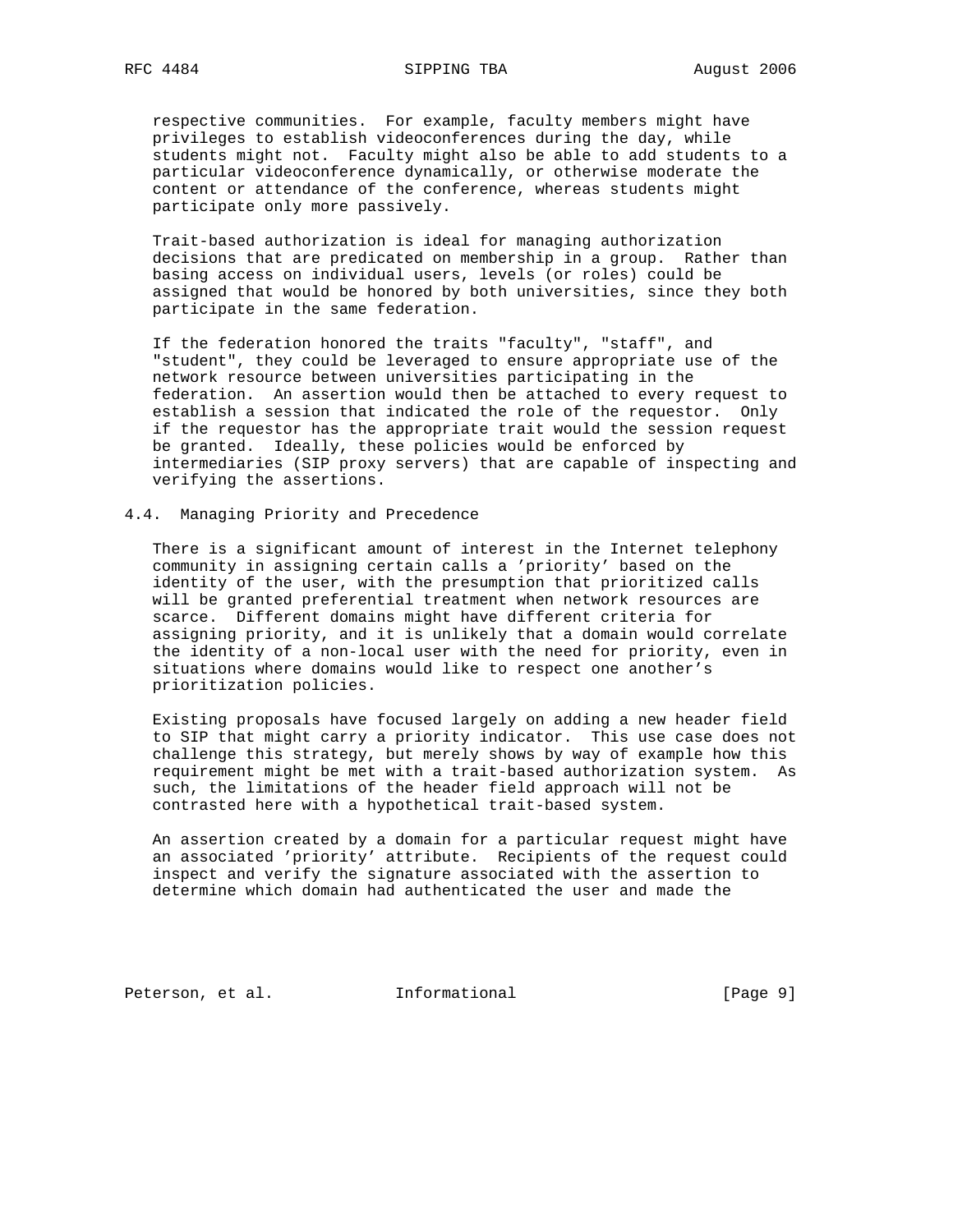respective communities. For example, faculty members might have privileges to establish videoconferences during the day, while students might not. Faculty might also be able to add students to a particular videoconference dynamically, or otherwise moderate the content or attendance of the conference, whereas students might participate only more passively.

 Trait-based authorization is ideal for managing authorization decisions that are predicated on membership in a group. Rather than basing access on individual users, levels (or roles) could be assigned that would be honored by both universities, since they both participate in the same federation.

 If the federation honored the traits "faculty", "staff", and "student", they could be leveraged to ensure appropriate use of the network resource between universities participating in the federation. An assertion would then be attached to every request to establish a session that indicated the role of the requestor. Only if the requestor has the appropriate trait would the session request be granted. Ideally, these policies would be enforced by intermediaries (SIP proxy servers) that are capable of inspecting and verifying the assertions.

### 4.4. Managing Priority and Precedence

 There is a significant amount of interest in the Internet telephony community in assigning certain calls a 'priority' based on the identity of the user, with the presumption that prioritized calls will be granted preferential treatment when network resources are scarce. Different domains might have different criteria for assigning priority, and it is unlikely that a domain would correlate the identity of a non-local user with the need for priority, even in situations where domains would like to respect one another's prioritization policies.

 Existing proposals have focused largely on adding a new header field to SIP that might carry a priority indicator. This use case does not challenge this strategy, but merely shows by way of example how this requirement might be met with a trait-based authorization system. As such, the limitations of the header field approach will not be contrasted here with a hypothetical trait-based system.

 An assertion created by a domain for a particular request might have an associated 'priority' attribute. Recipients of the request could inspect and verify the signature associated with the assertion to determine which domain had authenticated the user and made the

Peterson, et al. 1nformational 1999 [Page 9]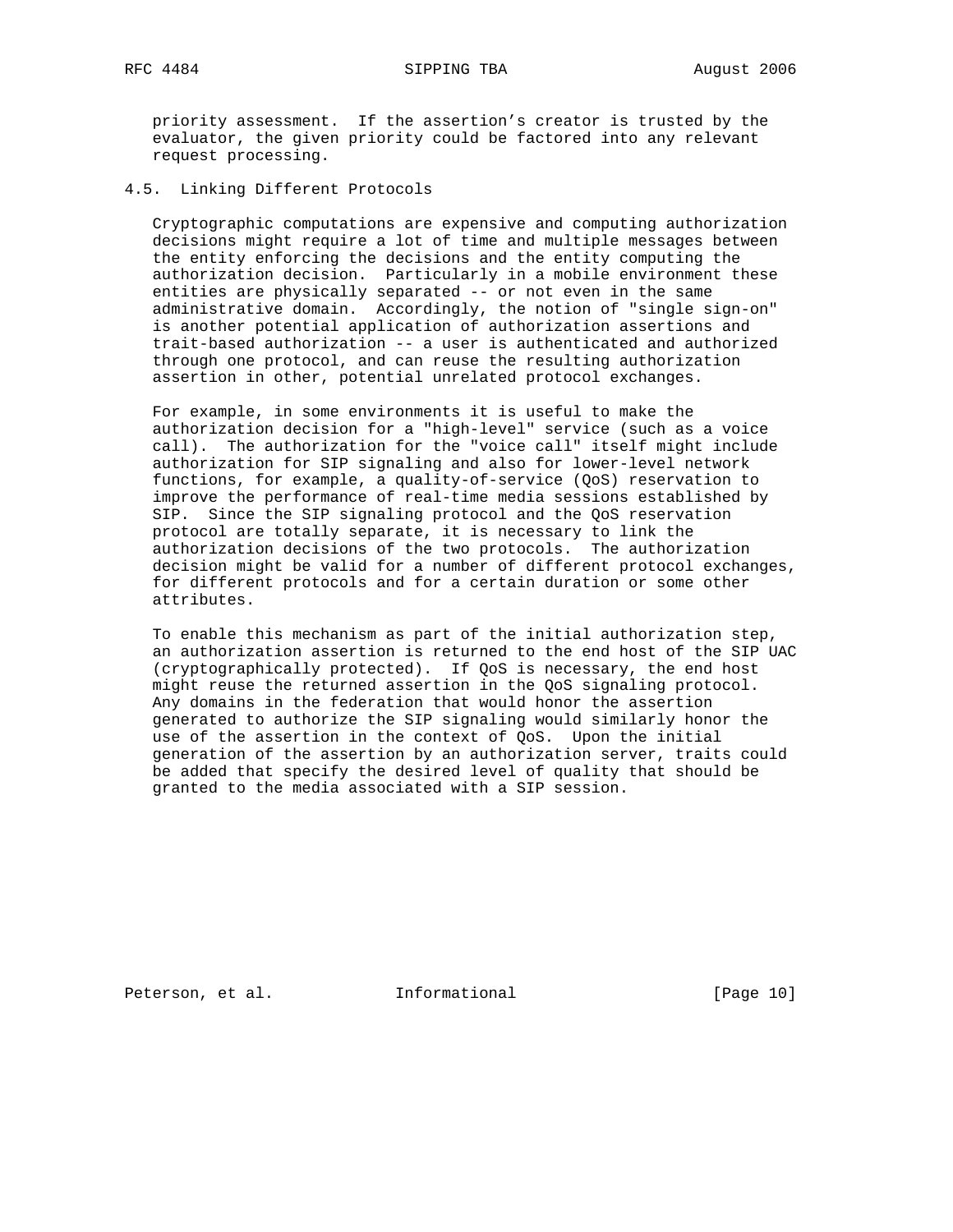priority assessment. If the assertion's creator is trusted by the evaluator, the given priority could be factored into any relevant request processing.

### 4.5. Linking Different Protocols

 Cryptographic computations are expensive and computing authorization decisions might require a lot of time and multiple messages between the entity enforcing the decisions and the entity computing the authorization decision. Particularly in a mobile environment these entities are physically separated -- or not even in the same administrative domain. Accordingly, the notion of "single sign-on" is another potential application of authorization assertions and trait-based authorization -- a user is authenticated and authorized through one protocol, and can reuse the resulting authorization assertion in other, potential unrelated protocol exchanges.

 For example, in some environments it is useful to make the authorization decision for a "high-level" service (such as a voice call). The authorization for the "voice call" itself might include authorization for SIP signaling and also for lower-level network functions, for example, a quality-of-service (QoS) reservation to improve the performance of real-time media sessions established by SIP. Since the SIP signaling protocol and the QoS reservation protocol are totally separate, it is necessary to link the authorization decisions of the two protocols. The authorization decision might be valid for a number of different protocol exchanges, for different protocols and for a certain duration or some other attributes.

 To enable this mechanism as part of the initial authorization step, an authorization assertion is returned to the end host of the SIP UAC (cryptographically protected). If QoS is necessary, the end host might reuse the returned assertion in the QoS signaling protocol. Any domains in the federation that would honor the assertion generated to authorize the SIP signaling would similarly honor the use of the assertion in the context of QoS. Upon the initial generation of the assertion by an authorization server, traits could be added that specify the desired level of quality that should be granted to the media associated with a SIP session.

Peterson, et al. 1nformational [Page 10]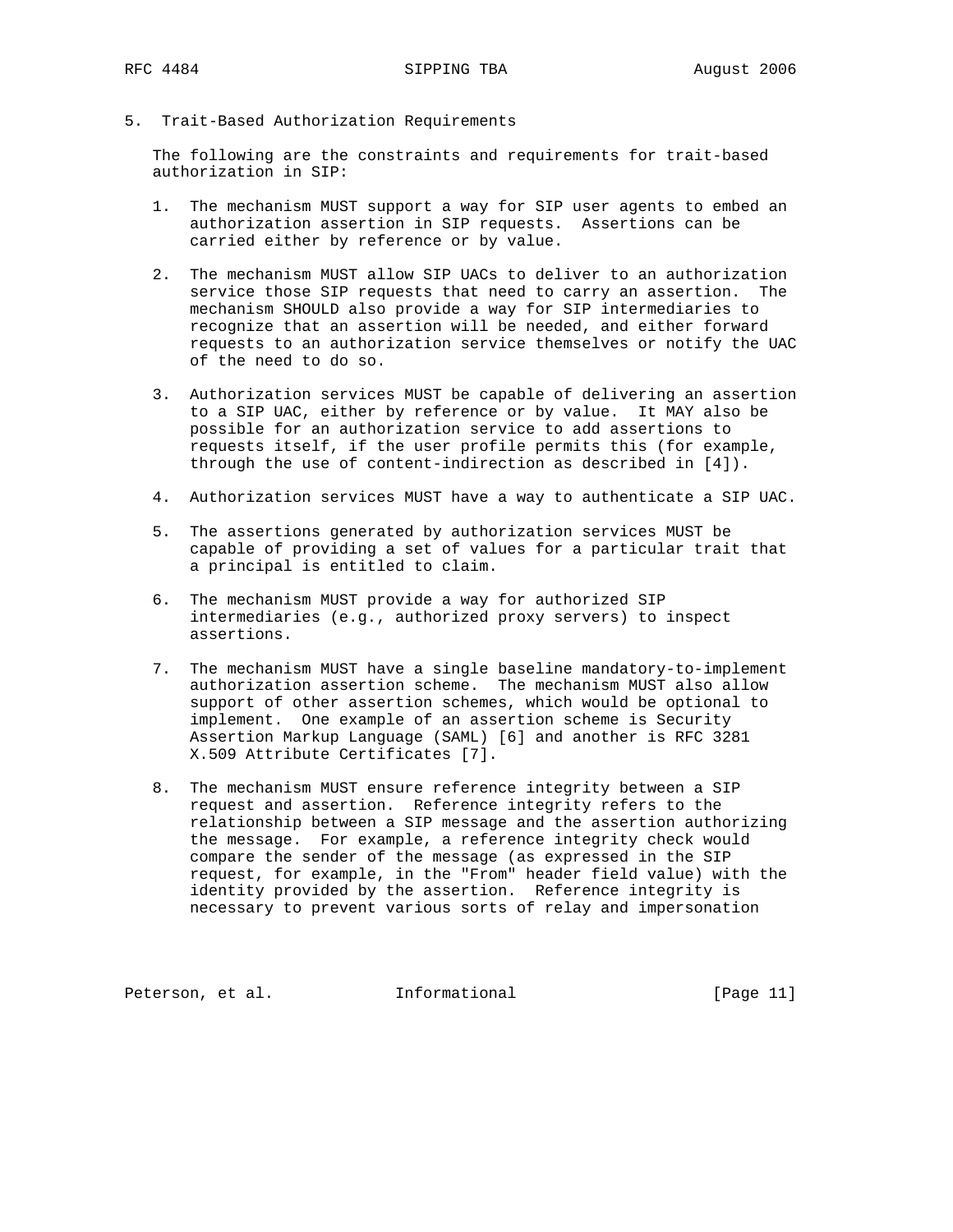5. Trait-Based Authorization Requirements

 The following are the constraints and requirements for trait-based authorization in SIP:

- 1. The mechanism MUST support a way for SIP user agents to embed an authorization assertion in SIP requests. Assertions can be carried either by reference or by value.
- 2. The mechanism MUST allow SIP UACs to deliver to an authorization service those SIP requests that need to carry an assertion. The mechanism SHOULD also provide a way for SIP intermediaries to recognize that an assertion will be needed, and either forward requests to an authorization service themselves or notify the UAC of the need to do so.
- 3. Authorization services MUST be capable of delivering an assertion to a SIP UAC, either by reference or by value. It MAY also be possible for an authorization service to add assertions to requests itself, if the user profile permits this (for example, through the use of content-indirection as described in [4]).
- 4. Authorization services MUST have a way to authenticate a SIP UAC.
- 5. The assertions generated by authorization services MUST be capable of providing a set of values for a particular trait that a principal is entitled to claim.
- 6. The mechanism MUST provide a way for authorized SIP intermediaries (e.g., authorized proxy servers) to inspect assertions.
- 7. The mechanism MUST have a single baseline mandatory-to-implement authorization assertion scheme. The mechanism MUST also allow support of other assertion schemes, which would be optional to implement. One example of an assertion scheme is Security Assertion Markup Language (SAML) [6] and another is RFC 3281 X.509 Attribute Certificates [7].
- 8. The mechanism MUST ensure reference integrity between a SIP request and assertion. Reference integrity refers to the relationship between a SIP message and the assertion authorizing the message. For example, a reference integrity check would compare the sender of the message (as expressed in the SIP request, for example, in the "From" header field value) with the identity provided by the assertion. Reference integrity is necessary to prevent various sorts of relay and impersonation

Peterson, et al. 1nformational [Page 11]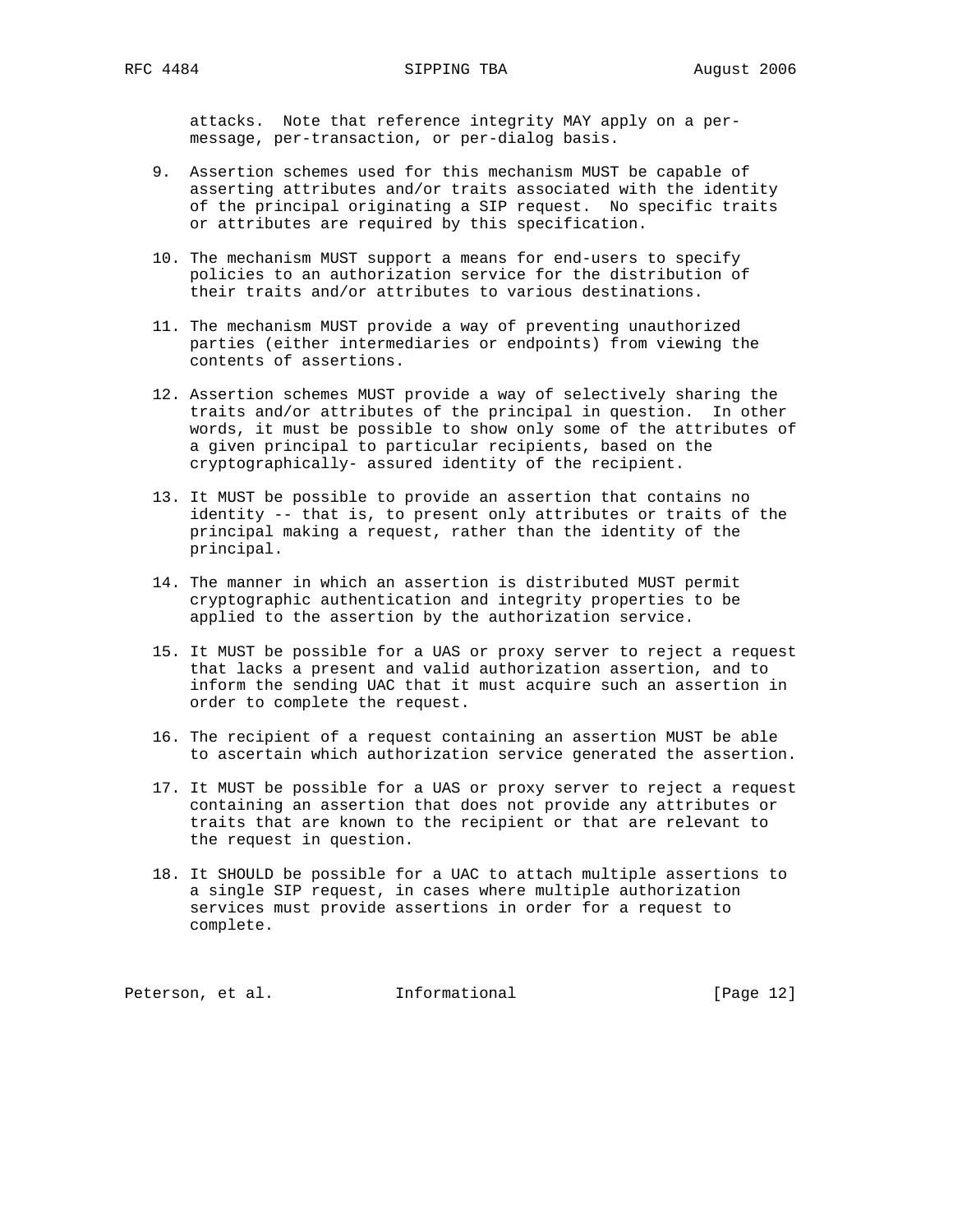attacks. Note that reference integrity MAY apply on a per message, per-transaction, or per-dialog basis.

- 9. Assertion schemes used for this mechanism MUST be capable of asserting attributes and/or traits associated with the identity of the principal originating a SIP request. No specific traits or attributes are required by this specification.
- 10. The mechanism MUST support a means for end-users to specify policies to an authorization service for the distribution of their traits and/or attributes to various destinations.
- 11. The mechanism MUST provide a way of preventing unauthorized parties (either intermediaries or endpoints) from viewing the contents of assertions.
- 12. Assertion schemes MUST provide a way of selectively sharing the traits and/or attributes of the principal in question. In other words, it must be possible to show only some of the attributes of a given principal to particular recipients, based on the cryptographically- assured identity of the recipient.
- 13. It MUST be possible to provide an assertion that contains no identity -- that is, to present only attributes or traits of the principal making a request, rather than the identity of the principal.
- 14. The manner in which an assertion is distributed MUST permit cryptographic authentication and integrity properties to be applied to the assertion by the authorization service.
- 15. It MUST be possible for a UAS or proxy server to reject a request that lacks a present and valid authorization assertion, and to inform the sending UAC that it must acquire such an assertion in order to complete the request.
- 16. The recipient of a request containing an assertion MUST be able to ascertain which authorization service generated the assertion.
- 17. It MUST be possible for a UAS or proxy server to reject a request containing an assertion that does not provide any attributes or traits that are known to the recipient or that are relevant to the request in question.
- 18. It SHOULD be possible for a UAC to attach multiple assertions to a single SIP request, in cases where multiple authorization services must provide assertions in order for a request to complete.

Peterson, et al. 1nformational [Page 12]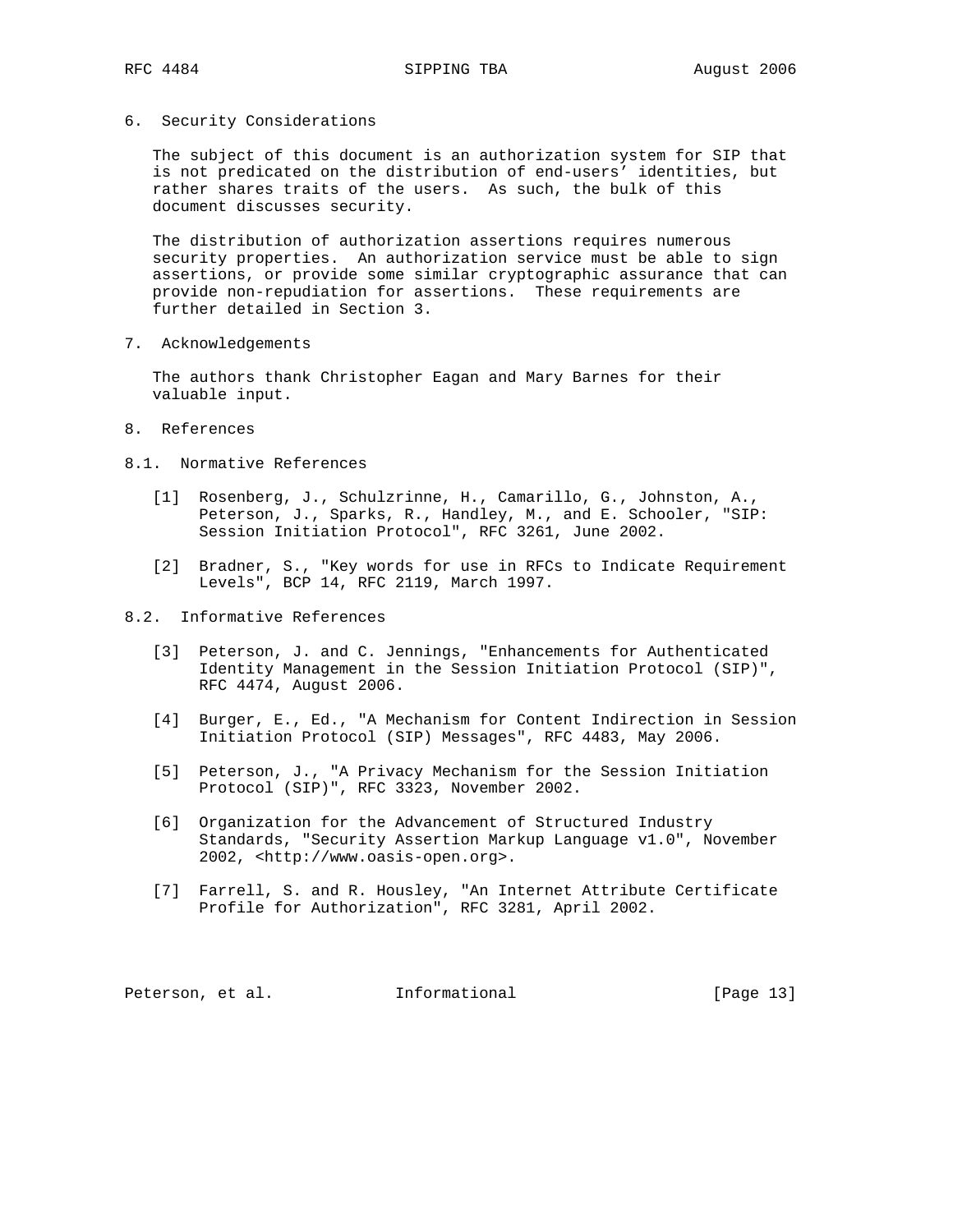6. Security Considerations

 The subject of this document is an authorization system for SIP that is not predicated on the distribution of end-users' identities, but rather shares traits of the users. As such, the bulk of this document discusses security.

 The distribution of authorization assertions requires numerous security properties. An authorization service must be able to sign assertions, or provide some similar cryptographic assurance that can provide non-repudiation for assertions. These requirements are further detailed in Section 3.

7. Acknowledgements

 The authors thank Christopher Eagan and Mary Barnes for their valuable input.

- 8. References
- 8.1. Normative References
	- [1] Rosenberg, J., Schulzrinne, H., Camarillo, G., Johnston, A., Peterson, J., Sparks, R., Handley, M., and E. Schooler, "SIP: Session Initiation Protocol", RFC 3261, June 2002.
	- [2] Bradner, S., "Key words for use in RFCs to Indicate Requirement Levels", BCP 14, RFC 2119, March 1997.
- 8.2. Informative References
	- [3] Peterson, J. and C. Jennings, "Enhancements for Authenticated Identity Management in the Session Initiation Protocol (SIP)", RFC 4474, August 2006.
	- [4] Burger, E., Ed., "A Mechanism for Content Indirection in Session Initiation Protocol (SIP) Messages", RFC 4483, May 2006.
	- [5] Peterson, J., "A Privacy Mechanism for the Session Initiation Protocol (SIP)", RFC 3323, November 2002.
	- [6] Organization for the Advancement of Structured Industry Standards, "Security Assertion Markup Language v1.0", November 2002, <http://www.oasis-open.org>.
	- [7] Farrell, S. and R. Housley, "An Internet Attribute Certificate Profile for Authorization", RFC 3281, April 2002.

Peterson, et al. 1nformational [Page 13]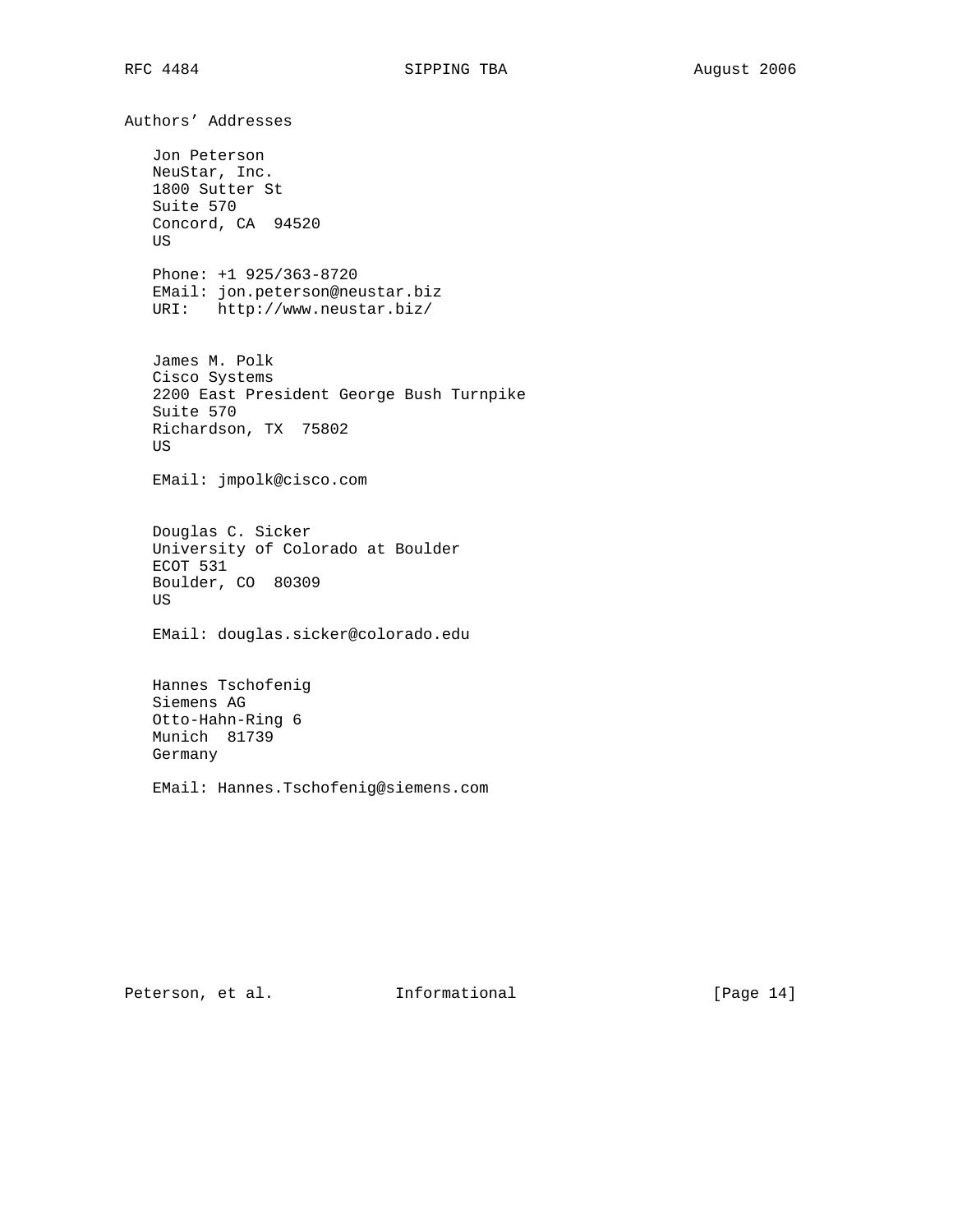Authors' Addresses Jon Peterson NeuStar, Inc. 1800 Sutter St Suite 570 Concord, CA 94520 US Phone: +1 925/363-8720 EMail: jon.peterson@neustar.biz URI: http://www.neustar.biz/ James M. Polk Cisco Systems 2200 East President George Bush Turnpike Suite 570 Richardson, TX 75802 US EMail: jmpolk@cisco.com Douglas C. Sicker University of Colorado at Boulder ECOT 531 Boulder, CO 80309 US EMail: douglas.sicker@colorado.edu Hannes Tschofenig Siemens AG Otto-Hahn-Ring 6 Munich 81739 Germany EMail: Hannes.Tschofenig@siemens.com

Peterson, et al. 1nformational [Page 14]